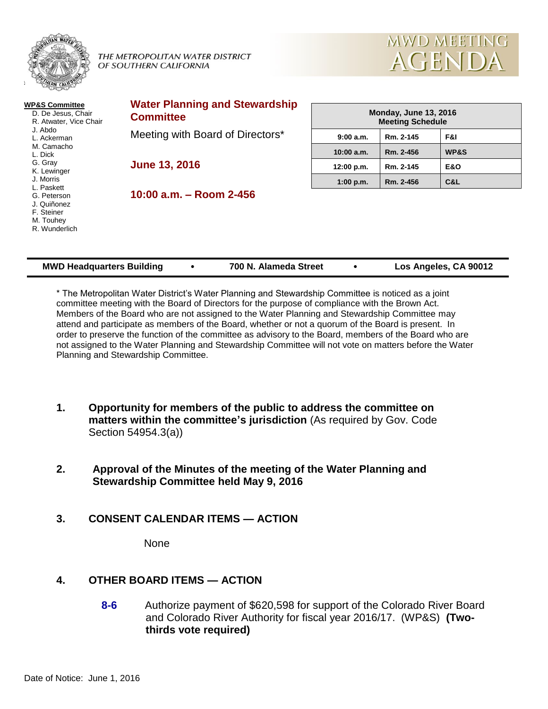

#### THE METROPOLITAN WATER DISTRICT OF SOUTHERN CALIFORNIA



| <b>WP&amp;S Committee</b><br>D. De Jesus, Chair<br>R. Atwater, Vice Chair | <b>Water Planning and Stewardship</b><br><b>Committee</b> | <b>Monday, June 13, 2016</b><br><b>Meeting Schedule</b> |           |                |
|---------------------------------------------------------------------------|-----------------------------------------------------------|---------------------------------------------------------|-----------|----------------|
| J. Abdo<br>L. Ackerman                                                    | Meeting with Board of Directors*                          | 9:00a.m.                                                | Rm. 2-145 | F&I            |
| M. Camacho<br>L. Dick<br>G. Gray<br>K. Lewinger                           | <b>June 13, 2016</b>                                      | 10:00 a.m.                                              | Rm. 2-456 | WP&S           |
|                                                                           |                                                           | 12:00 p.m.                                              | Rm. 2-145 | <b>E&amp;O</b> |
| J. Morris<br>L. Paskett                                                   |                                                           | 1:00 p.m.                                               | Rm. 2-456 | C&L            |
| G. Peterson<br>J. Quiñonez<br>F. Steiner<br>M. Touhey<br>R. Wunderlich    | $10:00$ a.m. $-$ Room 2-456                               |                                                         |           |                |

| <b>MWD Headquarters Building</b> |  | 700 N. Alameda Street |  | Los Angeles, CA 90012 |
|----------------------------------|--|-----------------------|--|-----------------------|
|----------------------------------|--|-----------------------|--|-----------------------|

\* The Metropolitan Water District's Water Planning and Stewardship Committee is noticed as a joint committee meeting with the Board of Directors for the purpose of compliance with the Brown Act. Members of the Board who are not assigned to the Water Planning and Stewardship Committee may attend and participate as members of the Board, whether or not a quorum of the Board is present. In order to preserve the function of the committee as advisory to the Board, members of the Board who are not assigned to the Water Planning and Stewardship Committee will not vote on matters before the Water Planning and Stewardship Committee.

- **1. Opportunity for members of the public to address the committee on matters within the committee's jurisdiction** (As required by Gov. Code Section 54954.3(a))
- **2. Approval of the Minutes of the meeting of the Water Planning and Stewardship Committee held May 9, 2016**
- **3. CONSENT CALENDAR ITEMS — ACTION**

None

# **4. OTHER BOARD ITEMS — ACTION**

**8-6** Authorize payment of \$620,598 for support of the Colorado River Board and Colorado River Authority for fiscal year 2016/17. (WP&S) **(Twothirds vote required)**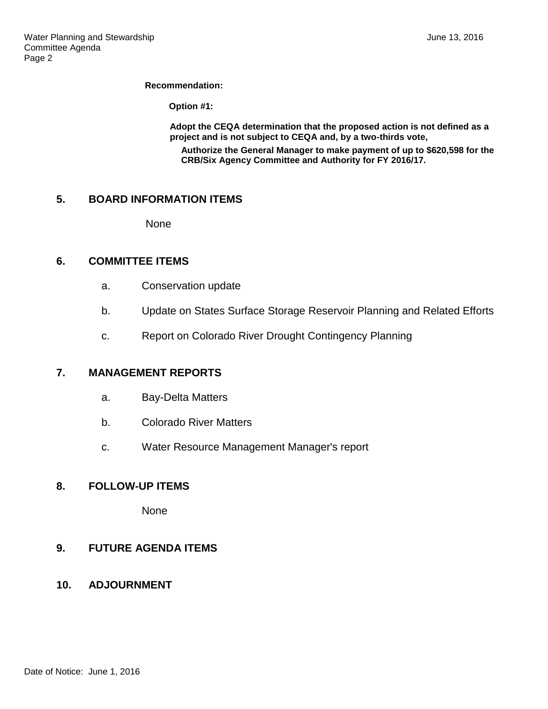#### **Recommendation:**

**Option #1:**

**Adopt the CEQA determination that the proposed action is not defined as a project and is not subject to CEQA and, by a two-thirds vote, Authorize the General Manager to make payment of up to \$620,598 for the CRB/Six Agency Committee and Authority for FY 2016/17.**

## **5. BOARD INFORMATION ITEMS**

None

### **6. COMMITTEE ITEMS**

- a. Conservation update
- b. Update on States Surface Storage Reservoir Planning and Related Efforts
- c. Report on Colorado River Drought Contingency Planning

### **7. MANAGEMENT REPORTS**

- a. Bay-Delta Matters
- b. Colorado River Matters
- c. Water Resource Management Manager's report

### **8. FOLLOW-UP ITEMS**

None

# **9. FUTURE AGENDA ITEMS**

**10. ADJOURNMENT**